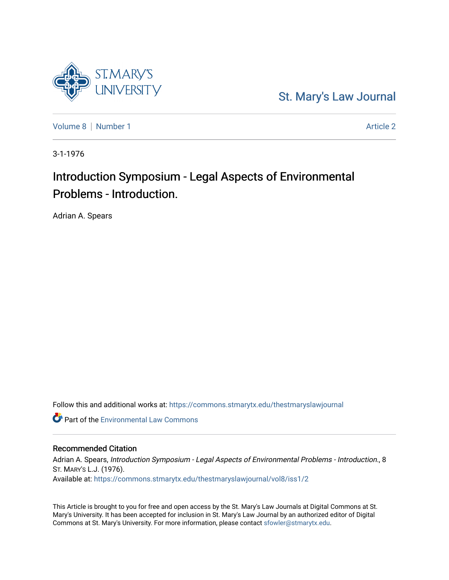

[St. Mary's Law Journal](https://commons.stmarytx.edu/thestmaryslawjournal) 

[Volume 8](https://commons.stmarytx.edu/thestmaryslawjournal/vol8) | [Number 1](https://commons.stmarytx.edu/thestmaryslawjournal/vol8/iss1) Article 2

3-1-1976

# Introduction Symposium - Legal Aspects of Environmental Problems - Introduction.

Adrian A. Spears

Follow this and additional works at: [https://commons.stmarytx.edu/thestmaryslawjournal](https://commons.stmarytx.edu/thestmaryslawjournal?utm_source=commons.stmarytx.edu%2Fthestmaryslawjournal%2Fvol8%2Fiss1%2F2&utm_medium=PDF&utm_campaign=PDFCoverPages) 

**C** Part of the [Environmental Law Commons](https://network.bepress.com/hgg/discipline/599?utm_source=commons.stmarytx.edu%2Fthestmaryslawjournal%2Fvol8%2Fiss1%2F2&utm_medium=PDF&utm_campaign=PDFCoverPages)

# Recommended Citation

Adrian A. Spears, Introduction Symposium - Legal Aspects of Environmental Problems - Introduction., 8 ST. MARY'S L.J. (1976). Available at: [https://commons.stmarytx.edu/thestmaryslawjournal/vol8/iss1/2](https://commons.stmarytx.edu/thestmaryslawjournal/vol8/iss1/2?utm_source=commons.stmarytx.edu%2Fthestmaryslawjournal%2Fvol8%2Fiss1%2F2&utm_medium=PDF&utm_campaign=PDFCoverPages) 

This Article is brought to you for free and open access by the St. Mary's Law Journals at Digital Commons at St. Mary's University. It has been accepted for inclusion in St. Mary's Law Journal by an authorized editor of Digital Commons at St. Mary's University. For more information, please contact [sfowler@stmarytx.edu](mailto:sfowler@stmarytx.edu).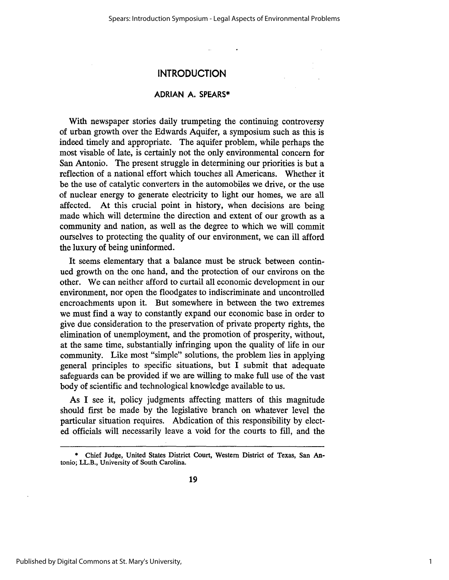# **INTRODUCTION**

### **ADRIAN A. SPEARS\***

With newspaper stories daily trumpeting the continuing controversy of urban growth over the Edwards Aquifer, a symposium such as this is indeed timely and appropriate. The aquifer problem, while perhaps the most visable of late, is certainly not the only environmental concern for San Antonio. The present struggle in determining our priorities is but a reflection of a national effort which touches all Americans. Whether it be the use of catalytic converters in the automobiles we drive, or the use of nuclear energy to generate electricity to light our homes, we are all affected. At this crucial point in history, when decisions are being made which will determine the direction and extent of our growth as a community and nation, as well as the degree to which we will commit ourselves to protecting the quality of our environment, we can ill afford the luxury of being uninformed.

It seems elementary that a balance must be struck between continued growth on the one hand, and the protection of our environs on the other. We can neither afford to curtail all economic development in our environment, nor open the floodgates to indiscriminate and uncontrolled encroachments upon it. But somewhere in between the two extremes we must find a way to constantly expand our economic base in order to give due consideration to the preservation of private property rights, the elimination of unemployment, and the promotion of prosperity, without, at the same time, substantially infringing upon the quality of life in our community. Like most "simple" solutions, the problem lies in applying general principles to specific situations, but I submit that adequate safeguards can be provided if we are willing to make full use of the vast body of scientific and technological knowledge available to us.

As I see it, policy judgments affecting matters of this magnitude should first be made by the legislative branch on whatever level the particular situation requires. Abdication of this responsibility by elected officials will necessarily leave a void for the courts to fill, and the

<sup>\*</sup> Chief Judge, **United States** District **Court,** Western **District of Texas, San An**tonio; **LL.B., University** of South Carolina.